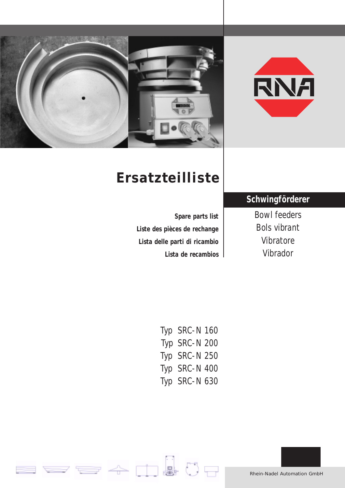



# **Ersatzteilliste**

**Spare parts list Liste des pièces de rechange Lista delle parti di ricambio Lista de recambios**

## **Schwingförderer**

Bowl feeders Bols vibrant Vibratore Vibrador

| Typ SRC-N160  |
|---------------|
| Typ SRC-N 200 |
| Typ SRC-N 250 |
| Typ SRC-N 400 |
| Typ SRC-N 630 |

i.

 $\cdot$  O  $\ominus$ 

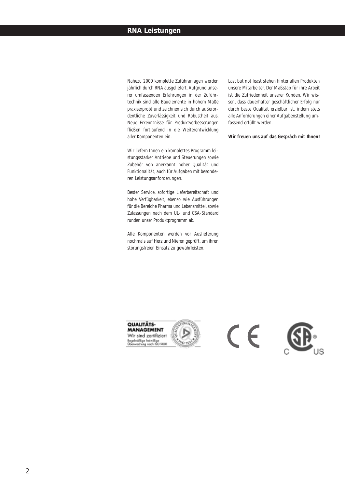#### **RNA Leistungen**

Nahezu 2000 komplette Zuführanlagen werden jährlich durch RNA ausgeliefert. Aufgrund unserer umfassenden Erfahrungen in der Zuführtechnik sind alle Bauelemente in hohem Maße praxiserprobt und zeichnen sich durch außerordentliche Zuverlässigkeit und Robustheit aus. Neue Erkenntnisse für Produktverbesserungen fließen fortlaufend in die Weiterentwicklung aller Komponenten ein.

Wir liefern Ihnen ein komplettes Programm leistungsstarker Antriebe und Steuerungen sowie Zubehör von anerkannt hoher Qualität und Funktionalität, auch für Aufgaben mit besonderen Leistungsanforderungen.

Bester Service, sofortige Lieferbereitschaft und hohe Verfügbarkeit, ebenso wie Ausführungen für die Bereiche Pharma und Lebensmittel, sowie Zulassungen nach dem UL- und CSA-Standard runden unser Produktprogramm ab.

Alle Komponenten werden vor Auslieferung nochmals auf Herz und Nieren geprüft, um ihren störungsfreien Einsatz zu gewährleisten.

Last but not least stehen hinter allen Produkten unsere Mitarbeiter. Der Maßstab für ihre Arbeit ist die Zufriedenheit unserer Kunden. Wir wissen, dass dauerhafter geschäftlicher Erfolg nur durch beste Qualität erzielbar ist, indem stets alle Anforderungen einer Aufgabenstellung umfassend erfüllt werden.

#### **Wir freuen uns auf das Gespräch mit Ihnen!**





 $\epsilon$ 

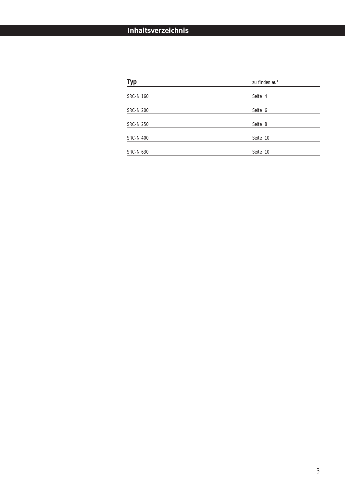#### **Inhaltsverzeichnis**

| Typ              | zu finden auf |
|------------------|---------------|
| <b>SRC-N 160</b> | Seite 4       |
|                  |               |
| <b>SRC-N 200</b> | Seite 6       |
| <b>SRC-N 250</b> | Seite 8       |
|                  |               |
| <b>SRC-N 400</b> | Seite 10      |
| <b>SRC-N 630</b> | Seite 10      |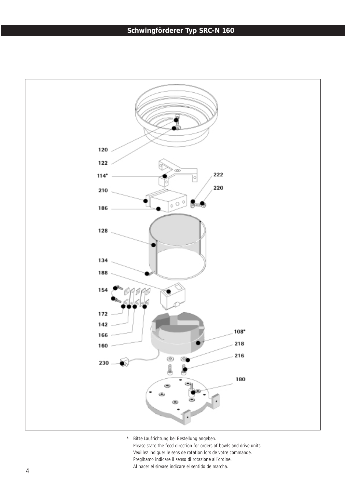### **Schwingförderer Typ SRC-N 160**

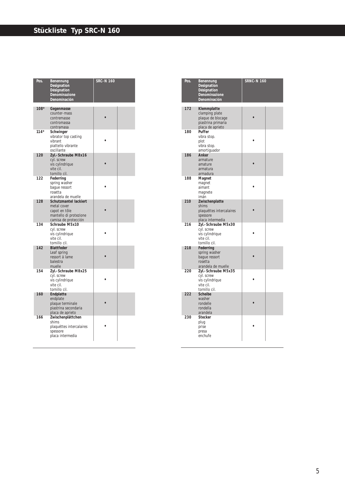| Pos.   | Benennung<br>Designation<br>Désignation<br>Denominazione<br>Denominación                                | <b>SRC-N 160</b> |  |
|--------|---------------------------------------------------------------------------------------------------------|------------------|--|
| $108*$ | Gegenmasse<br>counter-mass<br>contremasse<br>contromassa<br>contramasa                                  |                  |  |
| $114*$ | Schwinger<br>vibrator top casting<br>vibrant<br>piattello vibrante<br>oscillante                        |                  |  |
| 120    | Zyl.-Schraube M8x16<br>cyl. screw<br>vis cylindrique<br>vite cil.<br>tornillo cil.                      |                  |  |
| 122    | Federring<br>spring washer<br>baque ressort<br>rosetta<br>arandela de muelle                            |                  |  |
| 128    | Schutzmantel lackiert<br>metal cover<br>capot en tôle<br>mantello di protezione<br>camisa de protección |                  |  |
| 134    | Schraube M5x10<br>cyl. screw<br>vis cylindrique<br>vite cil.<br>tornillo cil.                           |                  |  |
| 142    | <b>Blattfeder</b><br>Leaf spring<br>ressort á lame<br>balestra<br>muelle                                |                  |  |
| 154    | Zyl.-Schraube M8x25<br>cyl. screw<br>vis cylindrique<br>vite cil.<br>tornillo cil.                      |                  |  |
| 160    | Endplatte<br>endplate<br>plaque terminale<br>piastrina secondaria<br>placa de aprieto                   |                  |  |
| 166    | Zwischenplättchen<br>shims<br>plaquéttes intercalaires<br>spessore<br>placa intermedia                  |                  |  |

| Pos. | Benennung<br>Designation<br>Désignation<br>Denominazione<br>Denominación                     | <b>SRNC-N 160</b> |  |
|------|----------------------------------------------------------------------------------------------|-------------------|--|
| 172  | Klemmplatte<br>clamping plate<br>plaque de blocage<br>piastrina primaria<br>placa de aprieto |                   |  |
| 180  | Puffer<br>vibra stop.<br>plot<br>vibra stop.<br>amortiguador                                 |                   |  |
| 186  | Anker<br>armature<br>amature<br>armatura<br>armadura                                         |                   |  |
| 188  | Magnet<br>magnet<br>aimant<br>magnete<br>imán                                                |                   |  |
| 210  | Zwischenplatte<br>shims<br>plaquéttes intercalaires<br>spessore<br>placa intermedia          |                   |  |
| 216  | Zyl.-Schraube M5x30<br>cyl. screw<br>vis cylindrique<br>vite cil.<br>tornillo cil.           |                   |  |
| 218  | Federring<br>spring washer<br>baque ressort<br>rosetta<br>arandela de muelle                 |                   |  |
| 220  | Zyl.-Schraube M5x35<br>cyl. screw<br>vis cylindrique<br>vite cil.<br>tornillo cil.           |                   |  |
| 222  | <b>Scheibe</b><br>washer<br>rondelle<br>rondella<br>arandela                                 |                   |  |
| 230  | <b>Stecker</b><br>plug<br>prise<br>presa<br>enchufe                                          |                   |  |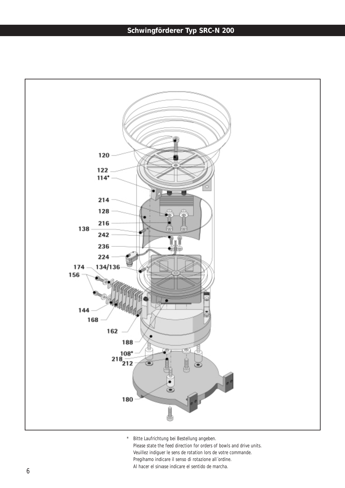### **Schwingförderer Typ SRC-N 200**

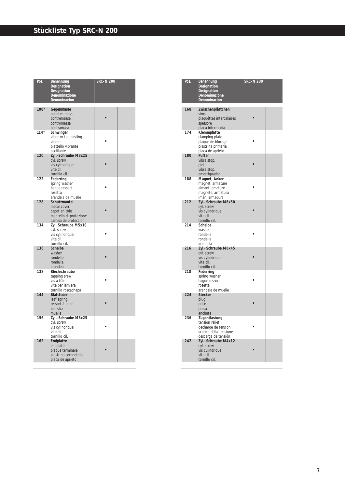| Pos.   | Benennung<br>Designation<br>Désignation<br>Denominazione<br>Denominación                       | <b>SRC-N 200</b> |  |
|--------|------------------------------------------------------------------------------------------------|------------------|--|
| 108*   | Gegenmasse<br>counter-mass<br>contremasse<br>contromassa<br>contramasa                         |                  |  |
| $114*$ | Schwinger<br>vibrator top casting<br>vibrant<br>piattello vibrante<br>oscillante               |                  |  |
| 120    | Zyl.-Schraube M8x25<br>cyl. screw<br>vis cylindrique<br>vite cil.<br>tornillo cil.             |                  |  |
| 122    | Federring<br>spring washer<br>baque ressort<br>rosetta<br>arandela de muelle                   |                  |  |
| 128    | Schutzmantel<br>metal cover<br>capot en tôle<br>mantello di protezione<br>camisa de protección |                  |  |
| 134    | Zyl. Schraube M5x10<br>cyl. screw<br>vis cylindrique<br>vite cil.<br>tornillo cil.             |                  |  |
| 136    | <b>Scheibe</b><br>washer<br>rondelle<br>rondella<br>arandela                                   |                  |  |
| 138    | Blechschraube<br>tapping srew<br>vis a tôle<br>vite per lamiera<br>tornillo roscachapa         |                  |  |
| 144    | <b>Blattfeder</b><br>leaf spring<br>ressort á lame<br>balestra<br>muelle                       |                  |  |
| 156    | Zyl.-Schraube M8x25<br>cyl. screw<br>vis cylindrique<br>vite cil.<br>tornillo cil.             |                  |  |
| 162    | Endplatte<br>endplate<br>plaque terminale<br>piastrina secondaria<br>placa de aprieto          |                  |  |

| Pos. | Benennung<br>Designation<br>Désignation<br>Denominazione<br>Denominación                                | <b>SRC-N 200</b> |  |
|------|---------------------------------------------------------------------------------------------------------|------------------|--|
| 168  | Zwischenplättchen<br>sims<br>plaquéttes intercalaires<br>spessore<br>placa intermedia                   |                  |  |
| 174  | Klemmplatte<br>clamping plate<br>plaque de blocage<br>piastrina primaria<br>placa de aprieto            |                  |  |
| 180  | Puffer<br>vibra stop.<br>plot<br>vibra stop.<br>amortiguador                                            |                  |  |
| 188  | Magnet, Anker<br>magnet, armature<br>aimant, amature<br>magnete, armatura<br>imán, armadura             |                  |  |
| 212  | Zyl.-Schraube M6x50<br>cyl. screw<br>vis cylindrique<br>vite cil.<br>tornillo cil.                      |                  |  |
| 214  | Scheibe<br>washer<br>rondelle<br>rondella<br>arandela                                                   |                  |  |
| 216  | Zyl.-Schraube M6x45<br>cyl. screw<br>vis cylindrique<br>vite cil.<br>tornillo cil.                      |                  |  |
| 218  | Federring<br>spring washer<br>baque ressort<br>rosetta<br>arandela de muelle                            |                  |  |
| 224  | <b>Stecker</b><br>plug<br>prise<br>presa<br>enchufe                                                     |                  |  |
| 236  | Zugentlastung<br>tension relief<br>decharge de tension<br>scarico della tensione<br>descarga de tensión |                  |  |
| 242  | Zyl.-Schraube M4x12<br>cyl. screw<br>vis cylindrique<br>vite cil.<br>tornillo cil.                      |                  |  |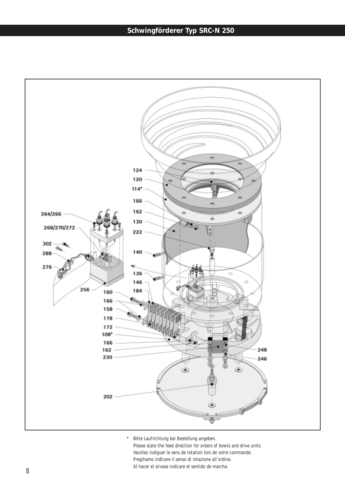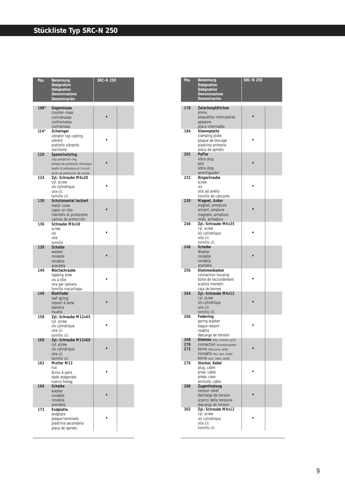### **Stückliste Typ SRC-N 250**

| Pos.   | Benennung<br>Designation                               | <b>SRC-N 250</b> |  |
|--------|--------------------------------------------------------|------------------|--|
|        | Désignation                                            |                  |  |
|        | Denominazione<br>Denominación                          |                  |  |
| $108*$ | Gegenmasse                                             |                  |  |
|        | counter-mass                                           |                  |  |
|        | contremasse<br>contromassa                             |                  |  |
|        | contramasa                                             |                  |  |
| $114*$ | Schwinger                                              |                  |  |
|        | vibrator top casting<br>vibrant                        |                  |  |
|        | piattello vibrante<br>oscillante                       |                  |  |
| 120    | Spanschutzring                                         |                  |  |
|        | chip protection ring<br>anneau de protection d'anneaux |                  |  |
|        | anello di protezione di truciolli                      |                  |  |
| 124    | anillo de protección de virutas<br>Zyl.-Schraube M6x20 |                  |  |
|        | cyl. screw                                             |                  |  |
|        | vis cylindrique<br>vite cil.                           |                  |  |
|        | tornillo cil.                                          |                  |  |
| 130    | Schutzmantel lackiert<br>metal cover                   |                  |  |
|        | capot en tôle                                          |                  |  |
|        | mantello di protezione<br>camisa de protección         |                  |  |
| 136    | Schraube M6x10                                         |                  |  |
|        | screw<br>vis                                           |                  |  |
|        | vite                                                   |                  |  |
| 138    | tornillo<br><b>Scheibe</b>                             |                  |  |
|        | washer<br>rondelle                                     |                  |  |
|        | rondella                                               |                  |  |
| 140    | arandela<br>Blechschraube                              |                  |  |
|        | tapping srew                                           |                  |  |
|        | vis a tôle<br>vite per lamiera                         |                  |  |
|        | tornillo roscachapa                                    |                  |  |
| 146    | <b>Blattfeder</b><br>leaf spring                       |                  |  |
|        | ressort á lame                                         |                  |  |
|        | balestra<br>muelle                                     |                  |  |
| 158    | Zyl.-Schraube M12x45                                   |                  |  |
|        | cyl. screw<br>vis cylindrique                          |                  |  |
|        | vite cil.<br>tornillo cil.                             |                  |  |
| 160    | Zyl.-Schraube M12x60                                   |                  |  |
|        | cyl. screw<br>vis cylindrique                          |                  |  |
|        | vite cil.                                              |                  |  |
| 162    | tornillo cil.<br>Mutter M12                            |                  |  |
|        | nut                                                    |                  |  |
|        | écrou 6 pans<br>dado esagonale                         |                  |  |
|        | tuerca hexag.                                          |                  |  |
| 166    | Scheibe<br>washer                                      |                  |  |
|        | rondelle                                               |                  |  |
|        | rondella<br>arandela                                   |                  |  |
| 172    | Endplatte<br>endplate                                  |                  |  |
|        | plaque terminale                                       |                  |  |
|        | piastrina secondaria<br>placa de aprieto               |                  |  |
|        |                                                        |                  |  |

| Pos.              | Benennung<br>Designation<br>Désignation<br>Denominazione<br>Denominación                                                                                   | <b>SRC-N 250</b> |  |
|-------------------|------------------------------------------------------------------------------------------------------------------------------------------------------------|------------------|--|
| 178               | Zwischenplättchen<br>shims<br>plaquéttes intercalaires<br>spessore<br>placa intermedia                                                                     |                  |  |
| 184               | Klemmplatte<br>clamping plate<br>plaque de blocage<br>piastrina primaria<br>placa de aprieto                                                               |                  |  |
| 202               | Puffer<br>vibra stop.<br>plot<br>vibra stop.<br>amortiguador                                                                                               |                  |  |
| 222               | Ringschraube<br>screw<br>vis<br>vite ad anello<br>tornillo de cáncamo                                                                                      |                  |  |
| 230               | Magnet, Anker<br>magnet, armature<br>aimant, amature<br>magnete, armatura<br>imán, armadura                                                                |                  |  |
| 246               | Zyl.-Schraube M6x35<br>cyl. screw<br>vis cylindrique<br>vite cil.<br>tornillo cil.                                                                         |                  |  |
| 248               | <b>Scheibe</b><br>Washer<br>rondelle<br>rondella<br>arandela                                                                                               |                  |  |
| 256               | Klemmenkasten<br>connection housing<br>boîte de raccordement<br>scatola morsetti<br>caja de bornes                                                         |                  |  |
| 264               | Zyl.-Schraube M4x12<br>cyl. screw<br>vis cylindrique<br>vite cil.<br>tornillo cil.                                                                         |                  |  |
| 266               | Federring<br>spring washer<br>baque ressort<br>rosetta<br>descarga de tensión                                                                              |                  |  |
| 268<br>270<br>272 | Klemme (blau, schwarz, grün)<br>CONNection (blue, black, green)<br>borne (bleu, noire, verte)<br>MOTSetto (blu, nero, verde)<br>borne (azul, negro, verde) |                  |  |
| 276               | Stecker, Kabel<br>plug, cable<br>prise, cable<br>presa, cavo<br>enchufe, cable                                                                             |                  |  |
| 288               | Zugentlastung<br>tension relief<br>decharge de tension<br>scarico della tensione<br>descarga de tension                                                    |                  |  |
| 302               | Zyl.-Schraube M4x12<br>cyl. screw<br>vis cylindrique<br>vite cil.<br>tornillo cil.                                                                         |                  |  |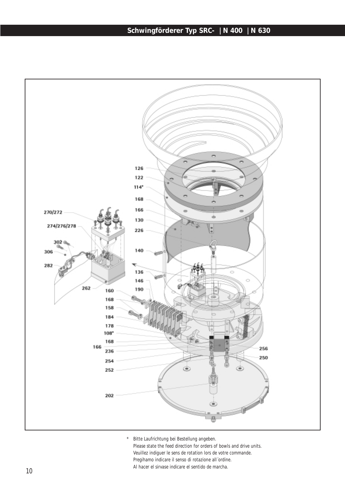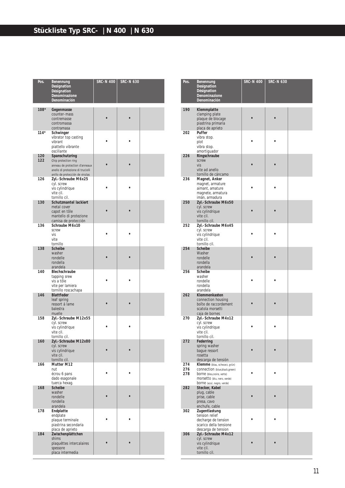| Pos.       | Benennung<br>Designation<br>Désignation<br>Denominazione<br>Denominación                                                                         | <b>SRC-N 400</b> | <b>SRC-N 630</b> |  |
|------------|--------------------------------------------------------------------------------------------------------------------------------------------------|------------------|------------------|--|
| $108*$     | Gegenmasse<br>counter-mass<br>contremasse<br>contromassa<br>contramasa                                                                           |                  |                  |  |
| $114*$     | Schwinger<br>vibrator top casting<br>vibrant<br>piattello vibrante<br>oscillante                                                                 |                  |                  |  |
| 120<br>122 | Spanschutzring<br>Chip protection ring<br>anneau de protection d'anneaux<br>anello di protezione di truciolli<br>anillo de protección de virutas |                  |                  |  |
| 126        | Zyl.-Schraube M6x25<br>cyl. screw<br>vis cylindrique<br>vite cil.<br>tornillo cil.                                                               |                  |                  |  |
| 130        | Schutzmantel lackiert<br>metal cover<br>capot en tôle<br>mantello di protezione<br>camisa de protección                                          |                  |                  |  |
| 136        | Schraube M6x10<br>screw<br>vis<br>vite<br>tornillo                                                                                               |                  |                  |  |
| 138        | <b>Scheibe</b><br>washer<br>rondelle<br>rondella<br>arandela                                                                                     |                  |                  |  |
| 140        | Blechschraube<br>tapping srew<br>vis a tôle<br>vite per lamiera<br>tornillo roscachapa                                                           |                  |                  |  |
| 146        | Blattfeder<br>leaf spring<br>ressort á lame<br>balestra<br>muelle                                                                                |                  |                  |  |
| 158        | Zyl.-Schraube M12x55<br>cyl. screw<br>vis cylindrique<br>vite cil.<br>tornillo cil.                                                              |                  |                  |  |
| 160        | Zyl.-Schraube M12x80<br>cyl. screw<br>vis cylindrique<br>vite cil.<br>tornillo cil.                                                              |                  |                  |  |
| 166        | Mutter M12<br>nut<br>écrou 6 pans<br>dado esagonale<br>tuerca hexag.                                                                             |                  |                  |  |
| 168        | Scheibe<br>washer<br>rondelle<br>rondella<br>arandela                                                                                            |                  |                  |  |
| 178        | Endplatte<br>endplate<br>plaque terminale<br>piastrina secondaria<br>placa de aprieto                                                            |                  |                  |  |
| 184        | Zwischenplättchen<br>shims<br>plaquéttes intercalaires<br>spessore<br>placa intermedia                                                           |                  |                  |  |

| Pos.              | Benennung<br>Designation<br>Désignation<br>Denominazione<br>Denominación                                                                                 | <b>SRC-N 400</b> | <b>SRC-N 630</b> |  |
|-------------------|----------------------------------------------------------------------------------------------------------------------------------------------------------|------------------|------------------|--|
| 190               | Klemmplatte<br>clamping plate<br>plaque de blocage<br>piastrina primaria<br>placa de aprieto                                                             |                  |                  |  |
| 202               | Puffer<br>vibra stop.<br>plot<br>vibra stop.<br>amortiquador                                                                                             |                  |                  |  |
| 226               | Ringschraube<br>screw<br>vis<br>vite ad anello<br>tornillo de cáncamo                                                                                    |                  |                  |  |
| 236               | Magnet, Anker<br>magnet, armature<br>aimant, amature<br>magnete, armatura<br>imán, armadura                                                              |                  |                  |  |
| 250               | Zyl.-Schraube M6x50<br>cyl. screw<br>vis cylindrique<br>vite cil.<br>tornillo cil.                                                                       |                  |                  |  |
| 252               | Zyl.-Schraube M6x45<br>cyl. screw<br>vis cylindrique<br>vite cil.<br>tornillo cil.                                                                       |                  |                  |  |
| 254               | <b>Scheibe</b><br>Washer<br>rondelle<br>rondella<br>arandela                                                                                             |                  |                  |  |
| 256               | Scheibe<br>washer<br>rondelle<br>rondella<br>arandela                                                                                                    |                  |                  |  |
| 262               | Klemmenkasten<br>connection housing<br>boîte de raccordement<br>scatola morsetti<br>caja de bornes                                                       |                  |                  |  |
| 270               | Zyl.-Schraube M4x12<br>cyl. screw<br>vis cylindrique<br>vite cil.<br>tornillo cil.                                                                       |                  |                  |  |
| 272               | Federring<br>spring washer<br>bague ressort<br>rosetta<br>descarga de tensión                                                                            |                  |                  |  |
| 274<br>276<br>278 | Klemme (blau, schwarz, grün)<br>CONNection (blue,black,green)<br>borne (bleu, noire, verte)<br>MOFSetto (blu, nero, verde)<br>borne (azul, negro, verde) |                  |                  |  |
| 282               | Stecker, Kabel<br>plug, cable<br>prise, cable<br>presa, cavo<br>enchufe, cable                                                                           |                  |                  |  |
| 302               | Zugentlastung<br>tension relief<br>decharge de tension<br>scarico della tensione<br>descarga de tension                                                  |                  |                  |  |
| 306               | Zyl.-Schraube M4x12<br>cyl. screw<br>vis cylindrique<br>vite cil.<br>tornillo cil.                                                                       |                  |                  |  |